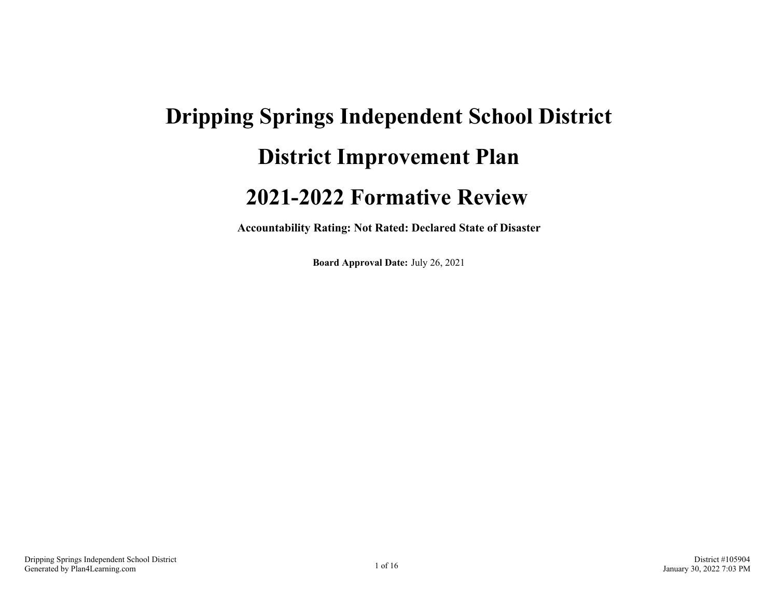# **Dripping Springs Independent School District District Improvement Plan 2021-2022 Formative Review**

**Accountability Rating: Not Rated: Declared State of Disaster**

**Board Approval Date:** July 26, 2021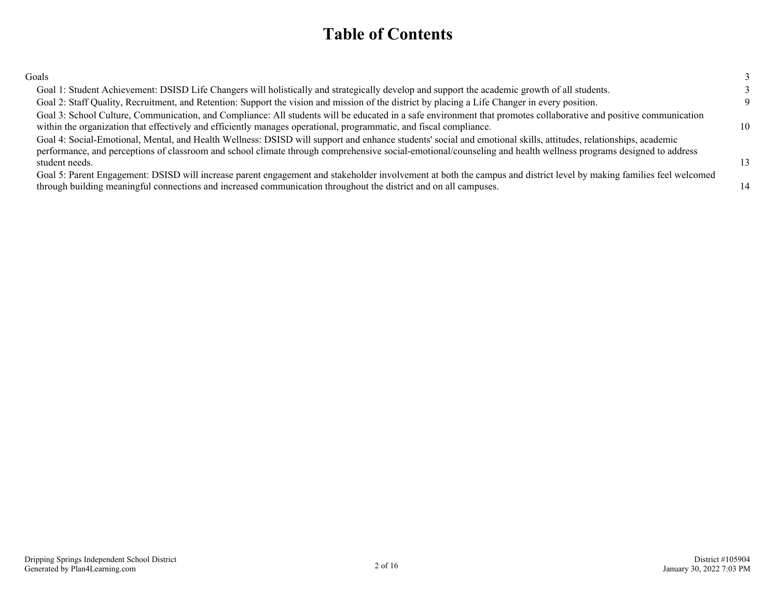### **Table of Contents**

| Goals                                                                                                                                                                                                                                                                                                                                                |    |
|------------------------------------------------------------------------------------------------------------------------------------------------------------------------------------------------------------------------------------------------------------------------------------------------------------------------------------------------------|----|
| Goal 1: Student Achievement: DSISD Life Changers will holistically and strategically develop and support the academic growth of all students.                                                                                                                                                                                                        |    |
| Goal 2: Staff Quality, Recruitment, and Retention: Support the vision and mission of the district by placing a Life Changer in every position.                                                                                                                                                                                                       | Q  |
| Goal 3: School Culture, Communication, and Compliance: All students will be educated in a safe environment that promotes collaborative and positive communication<br>within the organization that effectively and efficiently manages operational, programmatic, and fiscal compliance.                                                              | 10 |
| Goal 4: Social-Emotional, Mental, and Health Wellness: DSISD will support and enhance students' social and emotional skills, attitudes, relationships, academic<br>performance, and perceptions of classroom and school climate through comprehensive social-emotional/counseling and health wellness programs designed to address<br>student needs. | 13 |
| Goal 5: Parent Engagement: DSISD will increase parent engagement and stakeholder involvement at both the campus and district level by making families feel welcomed<br>through building meaningful connections and increased communication throughout the district and on all campuses.                                                              | 14 |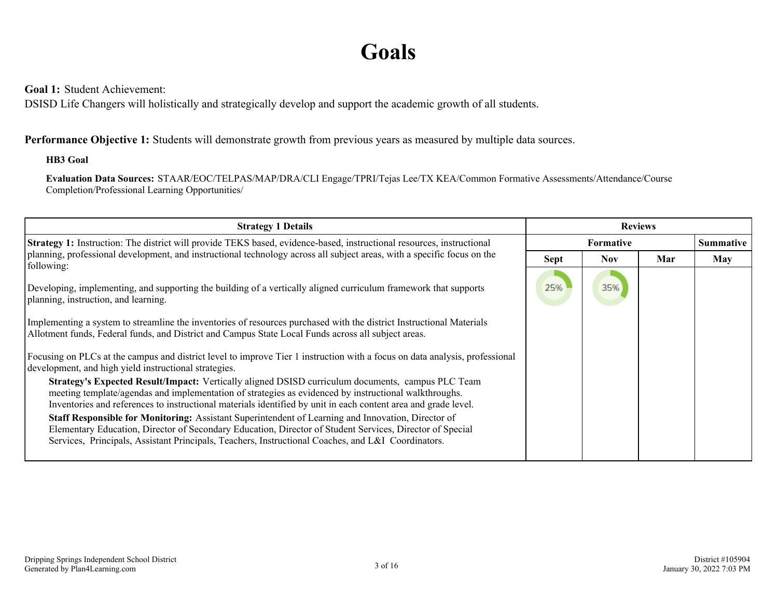## **Goals**

<span id="page-2-0"></span>**Goal 1:** Student Achievement:

DSISD Life Changers will holistically and strategically develop and support the academic growth of all students.

#### **Performance Objective 1:** Students will demonstrate growth from previous years as measured by multiple data sources.

#### **HB3 Goal**

**Evaluation Data Sources:** STAAR/EOC/TELPAS/MAP/DRA/CLI Engage/TPRI/Tejas Lee/TX KEA/Common Formative Assessments/Attendance/Course Completion/Professional Learning Opportunities/

| <b>Strategy 1 Details</b>                                                                                                                                                                                                                                                                                                    | <b>Reviews</b> |                  |     |     |  |
|------------------------------------------------------------------------------------------------------------------------------------------------------------------------------------------------------------------------------------------------------------------------------------------------------------------------------|----------------|------------------|-----|-----|--|
| <b>Strategy 1:</b> Instruction: The district will provide TEKS based, evidence-based, instructional resources, instructional                                                                                                                                                                                                 |                | <b>Formative</b> |     |     |  |
| planning, professional development, and instructional technology across all subject areas, with a specific focus on the<br>following:                                                                                                                                                                                        | <b>Sept</b>    | <b>Nov</b>       | Mar | May |  |
| Developing, implementing, and supporting the building of a vertically aligned curriculum framework that supports<br>planning, instruction, and learning.                                                                                                                                                                     | 25%            | 35%              |     |     |  |
| Implementing a system to streamline the inventories of resources purchased with the district Instructional Materials<br>Allotment funds, Federal funds, and District and Campus State Local Funds across all subject areas.                                                                                                  |                |                  |     |     |  |
| Focusing on PLCs at the campus and district level to improve Tier 1 instruction with a focus on data analysis, professional<br>development, and high yield instructional strategies.                                                                                                                                         |                |                  |     |     |  |
| Strategy's Expected Result/Impact: Vertically aligned DSISD curriculum documents, campus PLC Team<br>meeting template/agendas and implementation of strategies as evidenced by instructional walkthroughs.<br>Inventories and references to instructional materials identified by unit in each content area and grade level. |                |                  |     |     |  |
| Staff Responsible for Monitoring: Assistant Superintendent of Learning and Innovation, Director of<br>Elementary Education, Director of Secondary Education, Director of Student Services, Director of Special<br>Services, Principals, Assistant Principals, Teachers, Instructional Coaches, and L&I Coordinators.         |                |                  |     |     |  |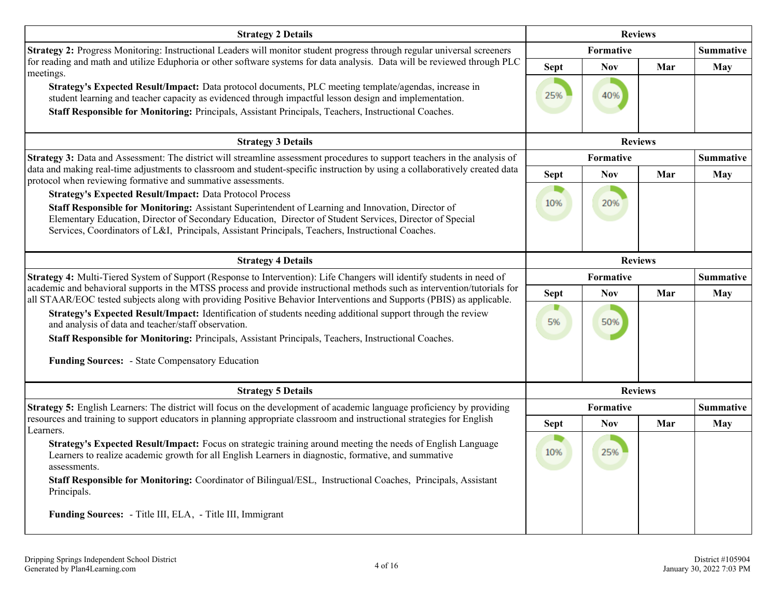| <b>Strategy 2 Details</b>                                                                                                                                                                                                                                                                                                                                                              | <b>Reviews</b> |                |     |                  |
|----------------------------------------------------------------------------------------------------------------------------------------------------------------------------------------------------------------------------------------------------------------------------------------------------------------------------------------------------------------------------------------|----------------|----------------|-----|------------------|
| Strategy 2: Progress Monitoring: Instructional Leaders will monitor student progress through regular universal screeners                                                                                                                                                                                                                                                               |                | Formative      |     | <b>Summative</b> |
| for reading and math and utilize Eduphoria or other software systems for data analysis. Data will be reviewed through PLC                                                                                                                                                                                                                                                              | <b>Sept</b>    | <b>Nov</b>     | Mar | <b>May</b>       |
| meetings.<br>Strategy's Expected Result/Impact: Data protocol documents, PLC meeting template/agendas, increase in<br>student learning and teacher capacity as evidenced through impactful lesson design and implementation.<br>Staff Responsible for Monitoring: Principals, Assistant Principals, Teachers, Instructional Coaches.                                                   | 25%            | 40%            |     |                  |
| <b>Strategy 3 Details</b>                                                                                                                                                                                                                                                                                                                                                              |                | <b>Reviews</b> |     |                  |
| Strategy 3: Data and Assessment: The district will streamline assessment procedures to support teachers in the analysis of                                                                                                                                                                                                                                                             |                | Formative      |     | <b>Summative</b> |
| data and making real-time adjustments to classroom and student-specific instruction by using a collaboratively created data<br>protocol when reviewing formative and summative assessments.                                                                                                                                                                                            | <b>Sept</b>    | <b>Nov</b>     | Mar | <b>May</b>       |
| <b>Strategy's Expected Result/Impact: Data Protocol Process</b><br>Staff Responsible for Monitoring: Assistant Superintendent of Learning and Innovation, Director of<br>Elementary Education, Director of Secondary Education, Director of Student Services, Director of Special<br>Services, Coordinators of L&I, Principals, Assistant Principals, Teachers, Instructional Coaches. | 10%            | 20%            |     |                  |
| <b>Strategy 4 Details</b>                                                                                                                                                                                                                                                                                                                                                              | <b>Reviews</b> |                |     |                  |
| Strategy 4: Multi-Tiered System of Support (Response to Intervention): Life Changers will identify students in need of                                                                                                                                                                                                                                                                 |                | Formative      |     | <b>Summative</b> |
| academic and behavioral supports in the MTSS process and provide instructional methods such as intervention/tutorials for<br>all STAAR/EOC tested subjects along with providing Positive Behavior Interventions and Supports (PBIS) as applicable.                                                                                                                                     | <b>Sept</b>    | <b>Nov</b>     | Mar | <b>May</b>       |
| Strategy's Expected Result/Impact: Identification of students needing additional support through the review<br>and analysis of data and teacher/staff observation.<br>Staff Responsible for Monitoring: Principals, Assistant Principals, Teachers, Instructional Coaches.                                                                                                             | 5%             | 50%            |     |                  |
| Funding Sources: - State Compensatory Education                                                                                                                                                                                                                                                                                                                                        |                |                |     |                  |
| <b>Strategy 5 Details</b>                                                                                                                                                                                                                                                                                                                                                              |                | <b>Reviews</b> |     |                  |
| Strategy 5: English Learners: The district will focus on the development of academic language proficiency by providing                                                                                                                                                                                                                                                                 |                | Formative      |     | <b>Summative</b> |
| resources and training to support educators in planning appropriate classroom and instructional strategies for English<br>Learners.                                                                                                                                                                                                                                                    | <b>Sept</b>    | <b>Nov</b>     | Mar | <b>May</b>       |
| Strategy's Expected Result/Impact: Focus on strategic training around meeting the needs of English Language<br>Learners to realize academic growth for all English Learners in diagnostic, formative, and summative<br>assessments.<br>Staff Responsible for Monitoring: Coordinator of Bilingual/ESL, Instructional Coaches, Principals, Assistant<br>Principals.                     | 10%            | 25%            |     |                  |
| Funding Sources: - Title III, ELA, - Title III, Immigrant                                                                                                                                                                                                                                                                                                                              |                |                |     |                  |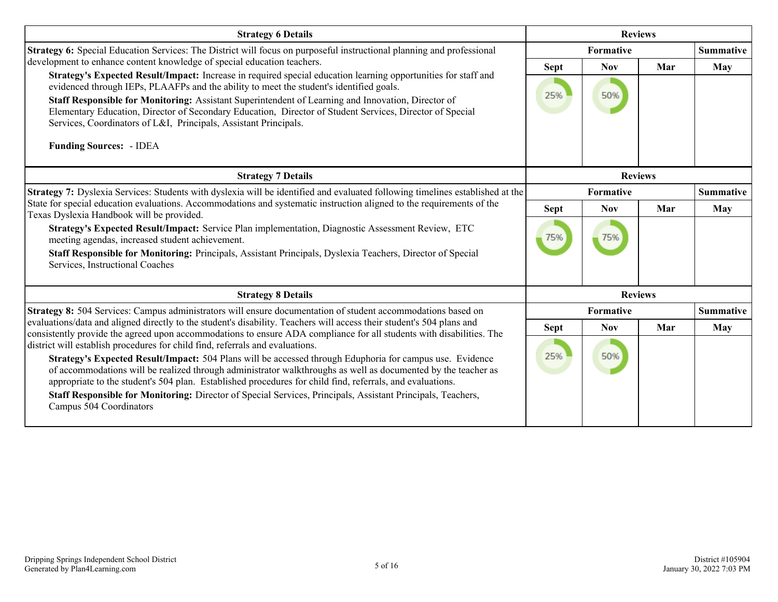| <b>Strategy 6 Details</b>                                                                                                                                                                                                                                                                                                              |                | <b>Reviews</b>   |                  |                  |
|----------------------------------------------------------------------------------------------------------------------------------------------------------------------------------------------------------------------------------------------------------------------------------------------------------------------------------------|----------------|------------------|------------------|------------------|
| <b>Strategy 6:</b> Special Education Services: The District will focus on purposeful instructional planning and professional                                                                                                                                                                                                           |                | <b>Formative</b> |                  | <b>Summative</b> |
| development to enhance content knowledge of special education teachers.                                                                                                                                                                                                                                                                | <b>Sept</b>    | <b>Nov</b>       | Mar              | May              |
| Strategy's Expected Result/Impact: Increase in required special education learning opportunities for staff and<br>evidenced through IEPs, PLAAFPs and the ability to meet the student's identified goals.                                                                                                                              |                |                  |                  |                  |
| Staff Responsible for Monitoring: Assistant Superintendent of Learning and Innovation, Director of<br>Elementary Education, Director of Secondary Education, Director of Student Services, Director of Special<br>Services, Coordinators of L&I, Principals, Assistant Principals.                                                     | 25%            | 50%              |                  |                  |
| <b>Funding Sources: - IDEA</b>                                                                                                                                                                                                                                                                                                         |                |                  |                  |                  |
| <b>Strategy 7 Details</b>                                                                                                                                                                                                                                                                                                              | <b>Reviews</b> |                  |                  |                  |
| Strategy 7: Dyslexia Services: Students with dyslexia will be identified and evaluated following timelines established at the                                                                                                                                                                                                          | Formative      |                  | <b>Summative</b> |                  |
| State for special education evaluations. Accommodations and systematic instruction aligned to the requirements of the<br>Texas Dyslexia Handbook will be provided.                                                                                                                                                                     | <b>Sept</b>    | <b>Nov</b>       | Mar              | <b>May</b>       |
| Strategy's Expected Result/Impact: Service Plan implementation, Diagnostic Assessment Review, ETC<br>meeting agendas, increased student achievement.<br>Staff Responsible for Monitoring: Principals, Assistant Principals, Dyslexia Teachers, Director of Special<br>Services, Instructional Coaches                                  | 75%            | 75%              |                  |                  |
| <b>Strategy 8 Details</b>                                                                                                                                                                                                                                                                                                              |                | <b>Reviews</b>   |                  |                  |
| Strategy 8: 504 Services: Campus administrators will ensure documentation of student accommodations based on                                                                                                                                                                                                                           |                | Formative        |                  | <b>Summative</b> |
| evaluations/data and aligned directly to the student's disability. Teachers will access their student's 504 plans and<br>consistently provide the agreed upon accommodations to ensure ADA compliance for all students with disabilities. The                                                                                          | <b>Sept</b>    | <b>Nov</b>       | Mar              | May              |
| district will establish procedures for child find, referrals and evaluations.                                                                                                                                                                                                                                                          |                |                  |                  |                  |
| Strategy's Expected Result/Impact: 504 Plans will be accessed through Eduphoria for campus use. Evidence<br>of accommodations will be realized through administrator walkthroughs as well as documented by the teacher as<br>appropriate to the student's 504 plan. Established procedures for child find, referrals, and evaluations. | 25%            | 50%              |                  |                  |
| Staff Responsible for Monitoring: Director of Special Services, Principals, Assistant Principals, Teachers,<br>Campus 504 Coordinators                                                                                                                                                                                                 |                |                  |                  |                  |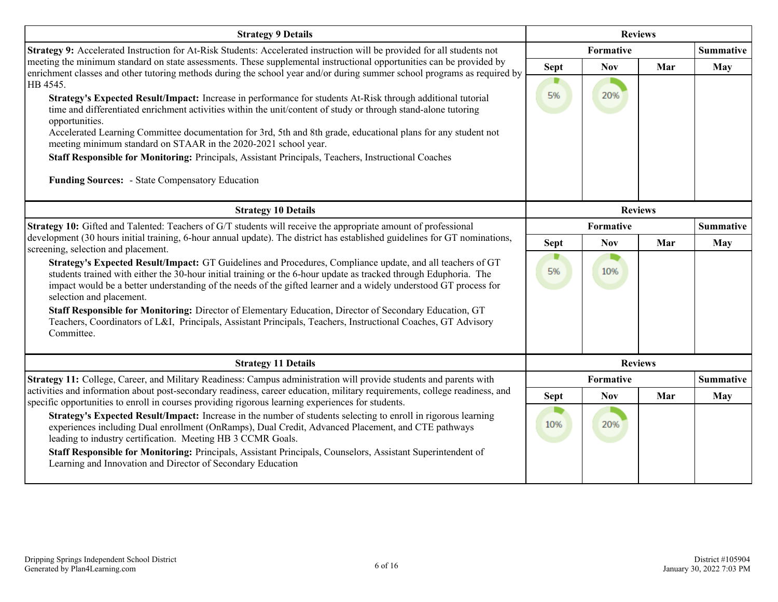| <b>Strategy 9 Details</b>                                                                                                                                                                                                                                                                                                                                                                                                                                                                                                                                                                                                                                                                            | <b>Reviews</b>    |                         |                |                         |
|------------------------------------------------------------------------------------------------------------------------------------------------------------------------------------------------------------------------------------------------------------------------------------------------------------------------------------------------------------------------------------------------------------------------------------------------------------------------------------------------------------------------------------------------------------------------------------------------------------------------------------------------------------------------------------------------------|-------------------|-------------------------|----------------|-------------------------|
| Strategy 9: Accelerated Instruction for At-Risk Students: Accelerated instruction will be provided for all students not                                                                                                                                                                                                                                                                                                                                                                                                                                                                                                                                                                              |                   | Formative               |                | <b>Summative</b>        |
| meeting the minimum standard on state assessments. These supplemental instructional opportunities can be provided by<br>enrichment classes and other tutoring methods during the school year and/or during summer school programs as required by<br>HB 4545.<br>Strategy's Expected Result/Impact: Increase in performance for students At-Risk through additional tutorial<br>time and differentiated enrichment activities within the unit/content of study or through stand-alone tutoring<br>opportunities.<br>Accelerated Learning Committee documentation for 3rd, 5th and 8th grade, educational plans for any student not<br>meeting minimum standard on STAAR in the 2020-2021 school year. | <b>Sept</b><br>5% | <b>Nov</b><br>20%       | Mar            | May                     |
| Staff Responsible for Monitoring: Principals, Assistant Principals, Teachers, Instructional Coaches<br><b>Funding Sources:</b> - State Compensatory Education                                                                                                                                                                                                                                                                                                                                                                                                                                                                                                                                        |                   |                         |                |                         |
| <b>Strategy 10 Details</b>                                                                                                                                                                                                                                                                                                                                                                                                                                                                                                                                                                                                                                                                           | <b>Reviews</b>    |                         |                |                         |
| Strategy 10: Gifted and Talented: Teachers of G/T students will receive the appropriate amount of professional<br>development (30 hours initial training, 6-hour annual update). The district has established guidelines for GT nominations,<br>screening, selection and placement.                                                                                                                                                                                                                                                                                                                                                                                                                  | <b>Sept</b>       | Formative<br><b>Nov</b> | Mar            | <b>Summative</b><br>May |
| Strategy's Expected Result/Impact: GT Guidelines and Procedures, Compliance update, and all teachers of GT<br>students trained with either the 30-hour initial training or the 6-hour update as tracked through Eduphoria. The<br>impact would be a better understanding of the needs of the gifted learner and a widely understood GT process for<br>selection and placement.                                                                                                                                                                                                                                                                                                                       | ■<br>5%           | 10%                     |                |                         |
| Staff Responsible for Monitoring: Director of Elementary Education, Director of Secondary Education, GT<br>Teachers, Coordinators of L&I, Principals, Assistant Principals, Teachers, Instructional Coaches, GT Advisory<br>Committee.                                                                                                                                                                                                                                                                                                                                                                                                                                                               |                   |                         |                |                         |
| <b>Strategy 11 Details</b>                                                                                                                                                                                                                                                                                                                                                                                                                                                                                                                                                                                                                                                                           |                   |                         | <b>Reviews</b> |                         |
| Strategy 11: College, Career, and Military Readiness: Campus administration will provide students and parents with                                                                                                                                                                                                                                                                                                                                                                                                                                                                                                                                                                                   |                   | <b>Formative</b>        |                | <b>Summative</b>        |
| activities and information about post-secondary readiness, career education, military requirements, college readiness, and<br>specific opportunities to enroll in courses providing rigorous learning experiences for students.                                                                                                                                                                                                                                                                                                                                                                                                                                                                      | <b>Sept</b>       | <b>Nov</b>              | Mar            | <b>May</b>              |
| Strategy's Expected Result/Impact: Increase in the number of students selecting to enroll in rigorous learning<br>experiences including Dual enrollment (OnRamps), Dual Credit, Advanced Placement, and CTE pathways<br>leading to industry certification. Meeting HB 3 CCMR Goals.                                                                                                                                                                                                                                                                                                                                                                                                                  | 10%               | 20%                     |                |                         |
| Staff Responsible for Monitoring: Principals, Assistant Principals, Counselors, Assistant Superintendent of<br>Learning and Innovation and Director of Secondary Education                                                                                                                                                                                                                                                                                                                                                                                                                                                                                                                           |                   |                         |                |                         |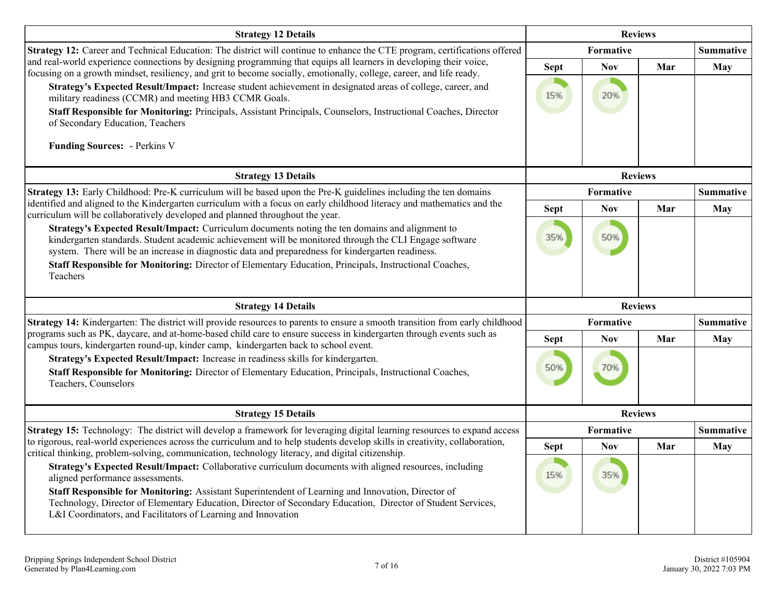| <b>Strategy 12 Details</b>                                                                                                                                                                                                                                                                                                                                                                                                           |                    | <b>Reviews</b>    |     |                  |
|--------------------------------------------------------------------------------------------------------------------------------------------------------------------------------------------------------------------------------------------------------------------------------------------------------------------------------------------------------------------------------------------------------------------------------------|--------------------|-------------------|-----|------------------|
| Strategy 12: Career and Technical Education: The district will continue to enhance the CTE program, certifications offered                                                                                                                                                                                                                                                                                                           |                    | Formative         |     | <b>Summative</b> |
| and real-world experience connections by designing programming that equips all learners in developing their voice,<br>focusing on a growth mindset, resiliency, and grit to become socially, emotionally, college, career, and life ready.<br>Strategy's Expected Result/Impact: Increase student achievement in designated areas of college, career, and<br>military readiness (CCMR) and meeting HB3 CCMR Goals.                   | <b>Sept</b><br>15% | <b>Nov</b><br>20% | Mar | <b>May</b>       |
| Staff Responsible for Monitoring: Principals, Assistant Principals, Counselors, Instructional Coaches, Director<br>of Secondary Education, Teachers                                                                                                                                                                                                                                                                                  |                    |                   |     |                  |
| <b>Funding Sources:</b> - Perkins V                                                                                                                                                                                                                                                                                                                                                                                                  |                    |                   |     |                  |
| <b>Strategy 13 Details</b>                                                                                                                                                                                                                                                                                                                                                                                                           | <b>Reviews</b>     |                   |     |                  |
| Strategy 13: Early Childhood: Pre-K curriculum will be based upon the Pre-K guidelines including the ten domains                                                                                                                                                                                                                                                                                                                     |                    | Formative         |     | <b>Summative</b> |
| identified and aligned to the Kindergarten curriculum with a focus on early childhood literacy and mathematics and the<br>curriculum will be collaboratively developed and planned throughout the year.                                                                                                                                                                                                                              | <b>Sept</b>        | <b>Nov</b>        | Mar | <b>May</b>       |
| Strategy's Expected Result/Impact: Curriculum documents noting the ten domains and alignment to<br>kindergarten standards. Student academic achievement will be monitored through the CLI Engage software<br>system. There will be an increase in diagnostic data and preparedness for kindergarten readiness.<br>Staff Responsible for Monitoring: Director of Elementary Education, Principals, Instructional Coaches,<br>Teachers | 35%                | 50%               |     |                  |
| <b>Strategy 14 Details</b>                                                                                                                                                                                                                                                                                                                                                                                                           |                    | <b>Reviews</b>    |     |                  |
| Strategy 14: Kindergarten: The district will provide resources to parents to ensure a smooth transition from early childhood                                                                                                                                                                                                                                                                                                         | Formative          |                   |     | <b>Summative</b> |
| programs such as PK, daycare, and at-home-based child care to ensure success in kindergarten through events such as<br>campus tours, kindergarten round-up, kinder camp, kindergarten back to school event.                                                                                                                                                                                                                          | <b>Sept</b>        | <b>Nov</b>        | Mar | <b>May</b>       |
| Strategy's Expected Result/Impact: Increase in readiness skills for kindergarten.<br>Staff Responsible for Monitoring: Director of Elementary Education, Principals, Instructional Coaches,<br>Teachers, Counselors                                                                                                                                                                                                                  | 50%                | 70%               |     |                  |
| <b>Strategy 15 Details</b>                                                                                                                                                                                                                                                                                                                                                                                                           |                    | <b>Reviews</b>    |     |                  |
| <b>Strategy 15:</b> Technology: The district will develop a framework for leveraging digital learning resources to expand access                                                                                                                                                                                                                                                                                                     |                    | Formative         |     | <b>Summative</b> |
| to rigorous, real-world experiences across the curriculum and to help students develop skills in creativity, collaboration,<br>critical thinking, problem-solving, communication, technology literacy, and digital citizenship.                                                                                                                                                                                                      | <b>Sept</b>        | <b>Nov</b>        | Mar | <b>May</b>       |
| Strategy's Expected Result/Impact: Collaborative curriculum documents with aligned resources, including<br>aligned performance assessments.<br>Staff Responsible for Monitoring: Assistant Superintendent of Learning and Innovation, Director of<br>Technology, Director of Elementary Education, Director of Secondary Education, Director of Student Services,<br>L&I Coordinators, and Facilitators of Learning and Innovation   | 15%                | 35%               |     |                  |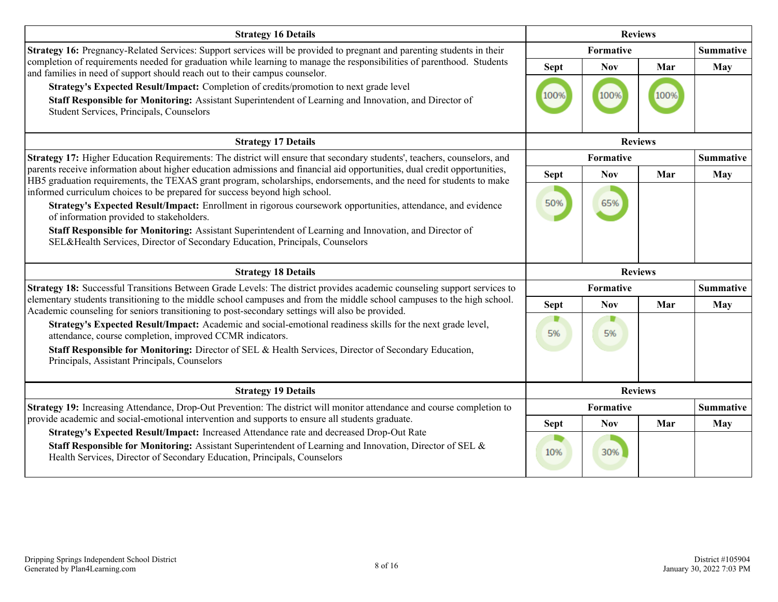| <b>Strategy 16 Details</b>                                                                                                                                                                                                                                                                                                       |                | <b>Reviews</b> |                |                  |
|----------------------------------------------------------------------------------------------------------------------------------------------------------------------------------------------------------------------------------------------------------------------------------------------------------------------------------|----------------|----------------|----------------|------------------|
| Strategy 16: Pregnancy-Related Services: Support services will be provided to pregnant and parenting students in their                                                                                                                                                                                                           |                | Formative      |                | <b>Summative</b> |
| completion of requirements needed for graduation while learning to manage the responsibilities of parenthood. Students<br>and families in need of support should reach out to their campus counselor.                                                                                                                            | <b>Sept</b>    | <b>Nov</b>     | Mar            | <b>May</b>       |
| Strategy's Expected Result/Impact: Completion of credits/promotion to next grade level<br>Staff Responsible for Monitoring: Assistant Superintendent of Learning and Innovation, and Director of<br>Student Services, Principals, Counselors                                                                                     | 100%           | 100%           | 100%           |                  |
| <b>Strategy 17 Details</b>                                                                                                                                                                                                                                                                                                       | <b>Reviews</b> |                |                |                  |
| Strategy 17: Higher Education Requirements: The district will ensure that secondary students', teachers, counselors, and                                                                                                                                                                                                         | Formative      |                |                | <b>Summative</b> |
| parents receive information about higher education admissions and financial aid opportunities, dual credit opportunities,<br>HB5 graduation requirements, the TEXAS grant program, scholarships, endorsements, and the need for students to make                                                                                 | <b>Sept</b>    | <b>Nov</b>     | Mar            | <b>May</b>       |
| informed curriculum choices to be prepared for success beyond high school.                                                                                                                                                                                                                                                       |                |                |                |                  |
| Strategy's Expected Result/Impact: Enrollment in rigorous coursework opportunities, attendance, and evidence<br>of information provided to stakeholders.                                                                                                                                                                         | 50%            | 65%            |                |                  |
| Staff Responsible for Monitoring: Assistant Superintendent of Learning and Innovation, and Director of<br>SEL&Health Services, Director of Secondary Education, Principals, Counselors                                                                                                                                           |                |                |                |                  |
| <b>Strategy 18 Details</b>                                                                                                                                                                                                                                                                                                       |                |                | <b>Reviews</b> |                  |
| Strategy 18: Successful Transitions Between Grade Levels: The district provides academic counseling support services to                                                                                                                                                                                                          |                | Formative      |                | <b>Summative</b> |
| elementary students transitioning to the middle school campuses and from the middle school campuses to the high school.<br>Academic counseling for seniors transitioning to post-secondary settings will also be provided.                                                                                                       | <b>Sept</b>    | <b>Nov</b>     | Mar            | May              |
| Strategy's Expected Result/Impact: Academic and social-emotional readiness skills for the next grade level,<br>attendance, course completion, improved CCMR indicators.<br>Staff Responsible for Monitoring: Director of SEL & Health Services, Director of Secondary Education,<br>Principals, Assistant Principals, Counselors | D<br>5%        | D<br>5%        |                |                  |
| <b>Strategy 19 Details</b>                                                                                                                                                                                                                                                                                                       |                |                | <b>Reviews</b> |                  |
| Strategy 19: Increasing Attendance, Drop-Out Prevention: The district will monitor attendance and course completion to                                                                                                                                                                                                           |                | Formative      |                | <b>Summative</b> |
| provide academic and social-emotional intervention and supports to ensure all students graduate.<br>Strategy's Expected Result/Impact: Increased Attendance rate and decreased Drop-Out Rate                                                                                                                                     | <b>Sept</b>    | <b>Nov</b>     | Mar            | May              |
| Staff Responsible for Monitoring: Assistant Superintendent of Learning and Innovation, Director of SEL &<br>Health Services, Director of Secondary Education, Principals, Counselors                                                                                                                                             | 10%            | 30%            |                |                  |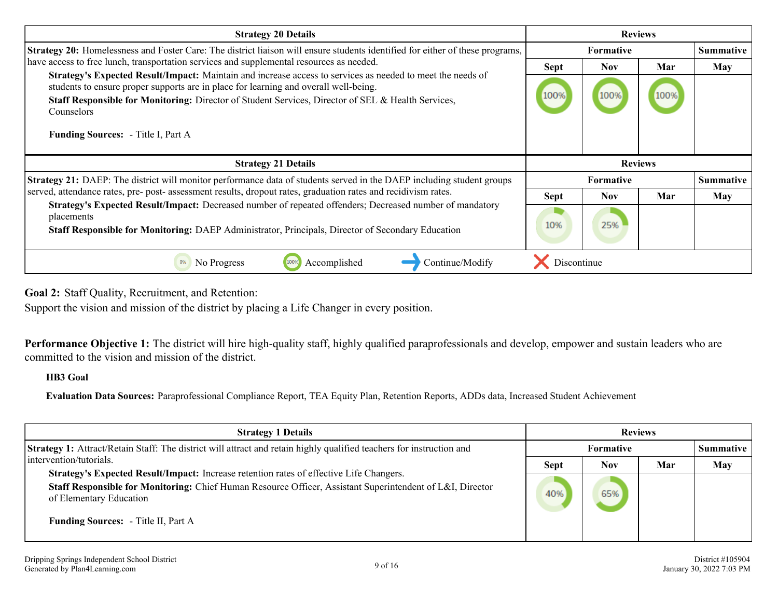<span id="page-8-0"></span>

| <b>Strategy 20 Details</b>                                                                                                                                                                         |                  | <b>Reviews</b>   |      |                  |
|----------------------------------------------------------------------------------------------------------------------------------------------------------------------------------------------------|------------------|------------------|------|------------------|
| <b>Strategy 20:</b> Homelessness and Foster Care: The district liaison will ensure students identified for either of these programs,                                                               |                  | <b>Formative</b> |      | <b>Summative</b> |
| have access to free lunch, transportation services and supplemental resources as needed.                                                                                                           | <b>Sept</b>      | <b>Nov</b>       | Mar  | May              |
| Strategy's Expected Result/Impact: Maintain and increase access to services as needed to meet the needs of<br>students to ensure proper supports are in place for learning and overall well-being. |                  | 100%             |      |                  |
| Staff Responsible for Monitoring: Director of Student Services, Director of SEL & Health Services,<br>Counselors                                                                                   | 100%             |                  | 100% |                  |
| <b>Funding Sources:</b> - Title I, Part A                                                                                                                                                          |                  |                  |      |                  |
| <b>Strategy 21 Details</b>                                                                                                                                                                         |                  |                  |      |                  |
| Strategy 21: DAEP: The district will monitor performance data of students served in the DAEP including student groups                                                                              | <b>Formative</b> |                  |      | <b>Summative</b> |
|                                                                                                                                                                                                    |                  |                  |      |                  |
| served, attendance rates, pre- post- assessment results, dropout rates, graduation rates and recidivism rates.                                                                                     | <b>Sept</b>      | <b>Nov</b>       | Mar  | May              |
| Strategy's Expected Result/Impact: Decreased number of repeated offenders; Decreased number of mandatory<br>placements                                                                             |                  |                  |      |                  |
| Staff Responsible for Monitoring: DAEP Administrator, Principals, Director of Secondary Education                                                                                                  | 10%              | 25%              |      |                  |

**Goal 2:** Staff Quality, Recruitment, and Retention:

Support the vision and mission of the district by placing a Life Changer in every position.

**Performance Objective 1:** The district will hire high-quality staff, highly qualified paraprofessionals and develop, empower and sustain leaders who are committed to the vision and mission of the district.

#### **HB3 Goal**

**Evaluation Data Sources:** Paraprofessional Compliance Report, TEA Equity Plan, Retention Reports, ADDs data, Increased Student Achievement

| <b>Strategy 1 Details</b>                                                                                                                                                                                                       | <b>Reviews</b> |            |     |                  |
|---------------------------------------------------------------------------------------------------------------------------------------------------------------------------------------------------------------------------------|----------------|------------|-----|------------------|
| <b>Strategy 1:</b> Attract/Retain Staff: The district will attract and retain highly qualified teachers for instruction and                                                                                                     |                | Formative  |     | <b>Summative</b> |
| intervention/tutorials.                                                                                                                                                                                                         | <b>Sept</b>    | <b>Nov</b> | Mar | <b>May</b>       |
| Strategy's Expected Result/Impact: Increase retention rates of effective Life Changers.<br>Staff Responsible for Monitoring: Chief Human Resource Officer, Assistant Superintendent of L&I, Director<br>of Elementary Education | 40%            | 65%        |     |                  |
| <b>Funding Sources:</b> - Title II, Part A                                                                                                                                                                                      |                |            |     |                  |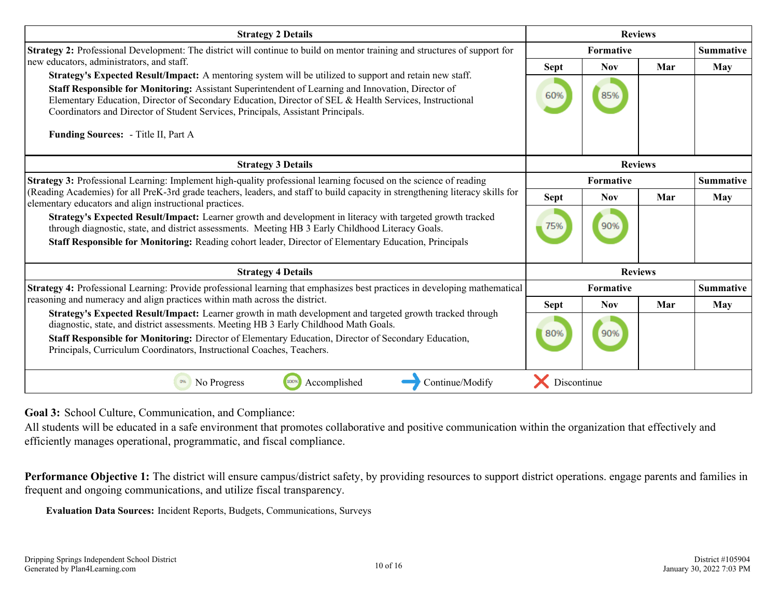<span id="page-9-0"></span>

| <b>Strategy 2 Details</b>                                                                                                                                                                                                                                                                                                                                                                                    |                |                | <b>Reviews</b> |                  |
|--------------------------------------------------------------------------------------------------------------------------------------------------------------------------------------------------------------------------------------------------------------------------------------------------------------------------------------------------------------------------------------------------------------|----------------|----------------|----------------|------------------|
| <b>Strategy 2:</b> Professional Development: The district will continue to build on mentor training and structures of support for                                                                                                                                                                                                                                                                            | Formative      |                |                | <b>Summative</b> |
| new educators, administrators, and staff.                                                                                                                                                                                                                                                                                                                                                                    | <b>Sept</b>    | <b>Nov</b>     | Mar            | May              |
| Strategy's Expected Result/Impact: A mentoring system will be utilized to support and retain new staff.<br>Staff Responsible for Monitoring: Assistant Superintendent of Learning and Innovation, Director of<br>Elementary Education, Director of Secondary Education, Director of SEL & Health Services, Instructional<br>Coordinators and Director of Student Services, Principals, Assistant Principals. | 60%            | 85%            |                |                  |
| Funding Sources: - Title II, Part A                                                                                                                                                                                                                                                                                                                                                                          |                |                |                |                  |
| <b>Strategy 3 Details</b>                                                                                                                                                                                                                                                                                                                                                                                    | <b>Reviews</b> |                |                |                  |
| Strategy 3: Professional Learning: Implement high-quality professional learning focused on the science of reading                                                                                                                                                                                                                                                                                            |                | Formative      |                | <b>Summative</b> |
| (Reading Academies) for all PreK-3rd grade teachers, leaders, and staff to build capacity in strengthening literacy skills for<br>elementary educators and align instructional practices.                                                                                                                                                                                                                    | Sept           | <b>Nov</b>     | Mar            | May              |
| Strategy's Expected Result/Impact: Learner growth and development in literacy with targeted growth tracked<br>through diagnostic, state, and district assessments. Meeting HB 3 Early Childhood Literacy Goals.<br>Staff Responsible for Monitoring: Reading cohort leader, Director of Elementary Education, Principals                                                                                     | 75%            | 90%            |                |                  |
| <b>Strategy 4 Details</b>                                                                                                                                                                                                                                                                                                                                                                                    |                | <b>Reviews</b> |                |                  |
| Strategy 4: Professional Learning: Provide professional learning that emphasizes best practices in developing mathematical                                                                                                                                                                                                                                                                                   |                | Formative      |                | <b>Summative</b> |
| reasoning and numeracy and align practices within math across the district.                                                                                                                                                                                                                                                                                                                                  | <b>Sept</b>    | <b>Nov</b>     | Mar            | May              |
| Strategy's Expected Result/Impact: Learner growth in math development and targeted growth tracked through<br>diagnostic, state, and district assessments. Meeting HB 3 Early Childhood Math Goals.<br>Staff Responsible for Monitoring: Director of Elementary Education, Director of Secondary Education,<br>Principals, Curriculum Coordinators, Instructional Coaches, Teachers.                          | 80%            | 90%            |                |                  |
| Accomplished<br>0%<br>No Progress<br>100%<br>Continue/Modify                                                                                                                                                                                                                                                                                                                                                 | Discontinue    |                |                |                  |

**Goal 3:** School Culture, Communication, and Compliance:

All students will be educated in a safe environment that promotes collaborative and positive communication within the organization that effectively and efficiently manages operational, programmatic, and fiscal compliance.

Performance Objective 1: The district will ensure campus/district safety, by providing resources to support district operations. engage parents and families in frequent and ongoing communications, and utilize fiscal transparency.

**Evaluation Data Sources:** Incident Reports, Budgets, Communications, Surveys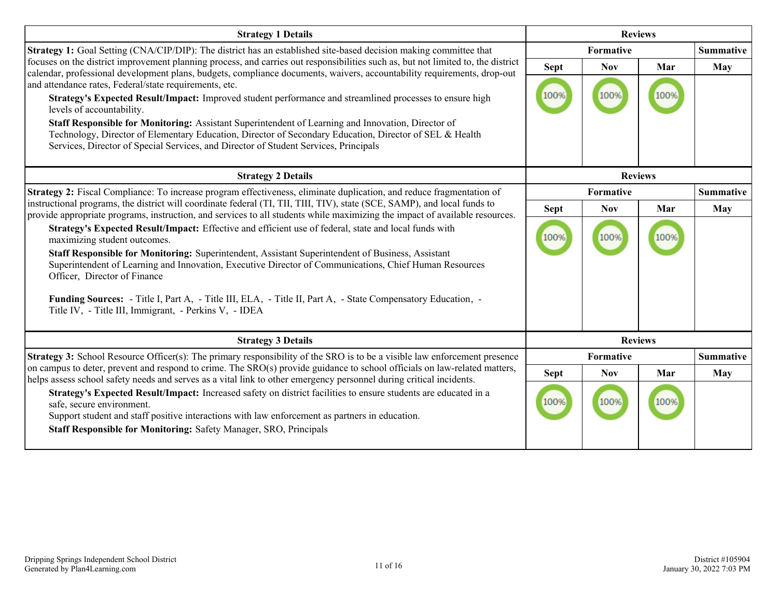| <b>Strategy 1 Details</b>                                                                                                                                                                                                                                                                                                                                                            |                | <b>Reviews</b> |      |                  |
|--------------------------------------------------------------------------------------------------------------------------------------------------------------------------------------------------------------------------------------------------------------------------------------------------------------------------------------------------------------------------------------|----------------|----------------|------|------------------|
| <b>Strategy 1:</b> Goal Setting (CNA/CIP/DIP): The district has an established site-based decision making committee that                                                                                                                                                                                                                                                             |                | Formative      |      | <b>Summative</b> |
| focuses on the district improvement planning process, and carries out responsibilities such as, but not limited to, the district<br>calendar, professional development plans, budgets, compliance documents, waivers, accountability requirements, drop-out                                                                                                                          | <b>Sept</b>    | <b>Nov</b>     | Mar  | May              |
| and attendance rates, Federal/state requirements, etc.<br>Strategy's Expected Result/Impact: Improved student performance and streamlined processes to ensure high<br>levels of accountability.                                                                                                                                                                                      | 100%           | 100%           |      |                  |
| Staff Responsible for Monitoring: Assistant Superintendent of Learning and Innovation, Director of<br>Technology, Director of Elementary Education, Director of Secondary Education, Director of SEL & Health<br>Services, Director of Special Services, and Director of Student Services, Principals                                                                                |                |                |      |                  |
| <b>Strategy 2 Details</b>                                                                                                                                                                                                                                                                                                                                                            | <b>Reviews</b> |                |      |                  |
| Strategy 2: Fiscal Compliance: To increase program effectiveness, eliminate duplication, and reduce fragmentation of                                                                                                                                                                                                                                                                 | Formative      |                |      | <b>Summative</b> |
| instructional programs, the district will coordinate federal (TI, TII, TIII, TIV), state (SCE, SAMP), and local funds to<br>provide appropriate programs, instruction, and services to all students while maximizing the impact of available resources.                                                                                                                              | <b>Sept</b>    | <b>Nov</b>     | Mar  | May              |
| Strategy's Expected Result/Impact: Effective and efficient use of federal, state and local funds with<br>maximizing student outcomes.<br>Staff Responsible for Monitoring: Superintendent, Assistant Superintendent of Business, Assistant<br>Superintendent of Learning and Innovation, Executive Director of Communications, Chief Human Resources<br>Officer, Director of Finance | 100%           | 100%           | 100% |                  |
| Funding Sources: - Title I, Part A, - Title III, ELA, - Title II, Part A, - State Compensatory Education, -<br>Title IV, - Title III, Immigrant, - Perkins V, - IDEA                                                                                                                                                                                                                 |                |                |      |                  |
| <b>Strategy 3 Details</b>                                                                                                                                                                                                                                                                                                                                                            |                | <b>Reviews</b> |      |                  |
| <b>Strategy 3:</b> School Resource Officer(s): The primary responsibility of the SRO is to be a visible law enforcement presence                                                                                                                                                                                                                                                     |                | Formative      |      | <b>Summative</b> |
| on campus to deter, prevent and respond to crime. The SRO(s) provide guidance to school officials on law-related matters,<br>helps assess school safety needs and serves as a vital link to other emergency personnel during critical incidents.                                                                                                                                     | <b>Sept</b>    | <b>Nov</b>     | Mar  | May              |
| Strategy's Expected Result/Impact: Increased safety on district facilities to ensure students are educated in a<br>safe, secure environment.<br>Support student and staff positive interactions with law enforcement as partners in education.<br><b>Staff Responsible for Monitoring: Safety Manager, SRO, Principals</b>                                                           | 100%           | 100%           |      |                  |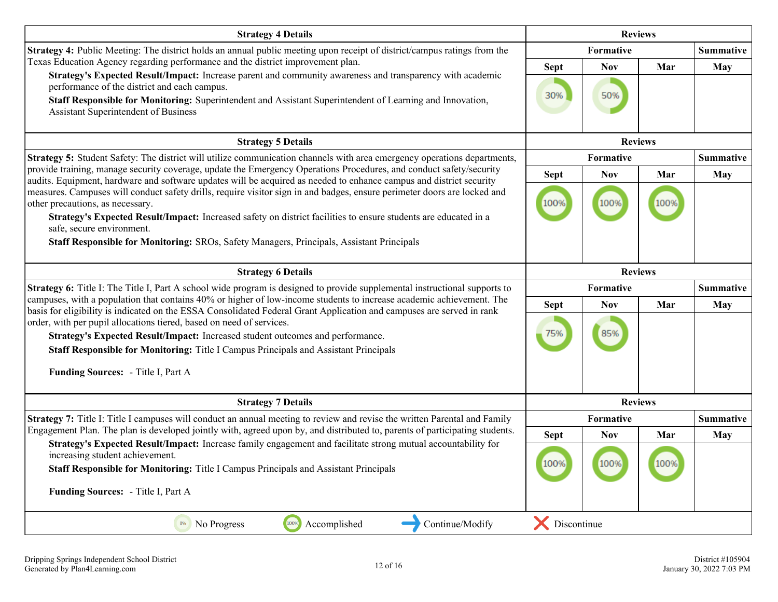| <b>Strategy 4 Details</b>                                                                                                                                                                                                                     |             | <b>Reviews</b>   |                |                  |
|-----------------------------------------------------------------------------------------------------------------------------------------------------------------------------------------------------------------------------------------------|-------------|------------------|----------------|------------------|
| Strategy 4: Public Meeting: The district holds an annual public meeting upon receipt of district/campus ratings from the                                                                                                                      |             | Formative        |                | <b>Summative</b> |
| Texas Education Agency regarding performance and the district improvement plan.                                                                                                                                                               | <b>Sept</b> | <b>Nov</b>       | Mar            | May              |
| Strategy's Expected Result/Impact: Increase parent and community awareness and transparency with academic<br>performance of the district and each campus.                                                                                     | 30%         | 50%              |                |                  |
| Staff Responsible for Monitoring: Superintendent and Assistant Superintendent of Learning and Innovation,<br>Assistant Superintendent of Business                                                                                             |             |                  |                |                  |
| <b>Strategy 5 Details</b>                                                                                                                                                                                                                     |             | <b>Reviews</b>   |                |                  |
| Strategy 5: Student Safety: The district will utilize communication channels with area emergency operations departments,                                                                                                                      |             | <b>Formative</b> |                | <b>Summative</b> |
| provide training, manage security coverage, update the Emergency Operations Procedures, and conduct safety/security<br>audits. Equipment, hardware and software updates will be acquired as needed to enhance campus and district security    | <b>Sept</b> | <b>Nov</b>       | Mar            | May              |
| measures. Campuses will conduct safety drills, require visitor sign in and badges, ensure perimeter doors are locked and                                                                                                                      |             |                  |                |                  |
| other precautions, as necessary.                                                                                                                                                                                                              | 100%        | 100%             | 100%           |                  |
| Strategy's Expected Result/Impact: Increased safety on district facilities to ensure students are educated in a<br>safe, secure environment.                                                                                                  |             |                  |                |                  |
| Staff Responsible for Monitoring: SROs, Safety Managers, Principals, Assistant Principals                                                                                                                                                     |             |                  |                |                  |
| <b>Strategy 6 Details</b>                                                                                                                                                                                                                     |             | <b>Reviews</b>   |                |                  |
| <b>Strategy 6:</b> Title I: The Title I, Part A school wide program is designed to provide supplemental instructional supports to                                                                                                             |             | <b>Formative</b> |                | <b>Summative</b> |
| campuses, with a population that contains 40% or higher of low-income students to increase academic achievement. The<br>basis for eligibility is indicated on the ESSA Consolidated Federal Grant Application and campuses are served in rank | <b>Sept</b> | <b>Nov</b>       | Mar            | May              |
| order, with per pupil allocations tiered, based on need of services.                                                                                                                                                                          |             |                  |                |                  |
| Strategy's Expected Result/Impact: Increased student outcomes and performance.                                                                                                                                                                | 75%         | 85%              |                |                  |
| Staff Responsible for Monitoring: Title I Campus Principals and Assistant Principals                                                                                                                                                          |             |                  |                |                  |
| Funding Sources: - Title I, Part A                                                                                                                                                                                                            |             |                  |                |                  |
| <b>Strategy 7 Details</b>                                                                                                                                                                                                                     |             |                  | <b>Reviews</b> |                  |
| Strategy 7: Title I: Title I campuses will conduct an annual meeting to review and revise the written Parental and Family                                                                                                                     |             | <b>Formative</b> |                | <b>Summative</b> |
| Engagement Plan. The plan is developed jointly with, agreed upon by, and distributed to, parents of participating students.                                                                                                                   | <b>Sept</b> | <b>Nov</b>       | Mar            | May              |
| Strategy's Expected Result/Impact: Increase family engagement and facilitate strong mutual accountability for<br>increasing student achievement.                                                                                              |             |                  |                |                  |
| Staff Responsible for Monitoring: Title I Campus Principals and Assistant Principals                                                                                                                                                          | 100%        | 100%             | 100%           |                  |
| Funding Sources: - Title I, Part A                                                                                                                                                                                                            |             |                  |                |                  |
| 100%<br>Continue/Modify<br>0%<br>No Progress<br>Accomplished                                                                                                                                                                                  | Discontinue |                  |                |                  |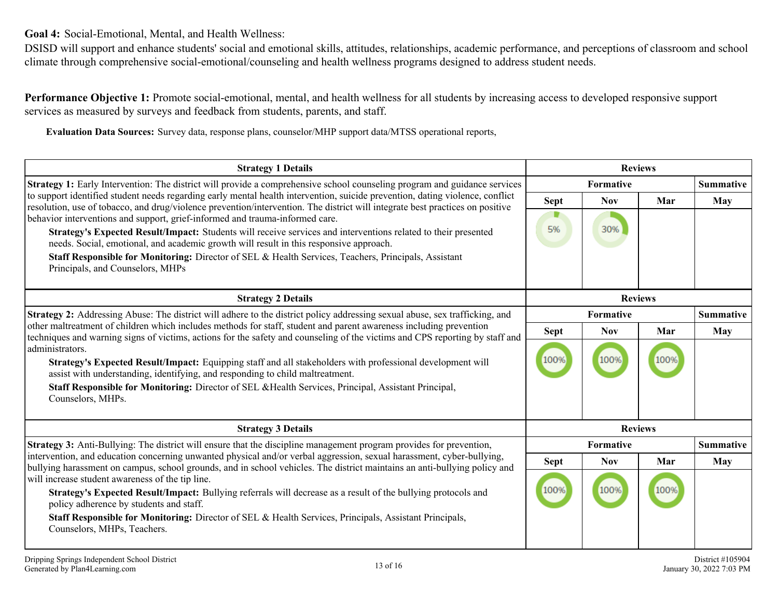<span id="page-12-0"></span>**Goal 4:** Social-Emotional, Mental, and Health Wellness:

DSISD will support and enhance students' social and emotional skills, attitudes, relationships, academic performance, and perceptions of classroom and school climate through comprehensive social-emotional/counseling and health wellness programs designed to address student needs.

**Performance Objective 1:** Promote social-emotional, mental, and health wellness for all students by increasing access to developed responsive support services as measured by surveys and feedback from students, parents, and staff.

**Evaluation Data Sources:** Survey data, response plans, counselor/MHP support data/MTSS operational reports,

| <b>Strategy 1 Details</b>                                                                                                                                                                                                                                                                                                                                                                          | <b>Reviews</b> |            |      |                  |
|----------------------------------------------------------------------------------------------------------------------------------------------------------------------------------------------------------------------------------------------------------------------------------------------------------------------------------------------------------------------------------------------------|----------------|------------|------|------------------|
| <b>Strategy 1:</b> Early Intervention: The district will provide a comprehensive school counseling program and guidance services<br>to support identified student needs regarding early mental health intervention, suicide prevention, dating violence, conflict<br>resolution, use of tobacco, and drug/violence prevention/intervention. The district will integrate best practices on positive | Formative      |            |      | <b>Summative</b> |
|                                                                                                                                                                                                                                                                                                                                                                                                    | Sept           | <b>Nov</b> | Mar  | May              |
| behavior interventions and support, grief-informed and trauma-informed care.                                                                                                                                                                                                                                                                                                                       |                |            |      |                  |
| Strategy's Expected Result/Impact: Students will receive services and interventions related to their presented                                                                                                                                                                                                                                                                                     | 5%             | 30%        |      |                  |
| needs. Social, emotional, and academic growth will result in this responsive approach.                                                                                                                                                                                                                                                                                                             |                |            |      |                  |
| Staff Responsible for Monitoring: Director of SEL & Health Services, Teachers, Principals, Assistant<br>Principals, and Counselors, MHPs                                                                                                                                                                                                                                                           |                |            |      |                  |
|                                                                                                                                                                                                                                                                                                                                                                                                    |                |            |      |                  |
| <b>Strategy 2 Details</b>                                                                                                                                                                                                                                                                                                                                                                          | <b>Reviews</b> |            |      |                  |
| Strategy 2: Addressing Abuse: The district will adhere to the district policy addressing sexual abuse, sex trafficking, and<br>other maltreatment of children which includes methods for staff, student and parent awareness including prevention<br>techniques and warning signs of victims, actions for the safety and counseling of the victims and CPS reporting by staff and                  | Formative      |            |      | <b>Summative</b> |
|                                                                                                                                                                                                                                                                                                                                                                                                    | <b>Sept</b>    | <b>Nov</b> | Mar  | <b>May</b>       |
| administrators.                                                                                                                                                                                                                                                                                                                                                                                    |                |            |      |                  |
| Strategy's Expected Result/Impact: Equipping staff and all stakeholders with professional development will<br>assist with understanding, identifying, and responding to child maltreatment.                                                                                                                                                                                                        | 100%           | 100%       | 100% |                  |
| Staff Responsible for Monitoring: Director of SEL & Health Services, Principal, Assistant Principal,<br>Counselors, MHPs.                                                                                                                                                                                                                                                                          |                |            |      |                  |
| <b>Strategy 3 Details</b>                                                                                                                                                                                                                                                                                                                                                                          | <b>Reviews</b> |            |      |                  |
| <b>Strategy 3:</b> Anti-Bullying: The district will ensure that the discipline management program provides for prevention,<br>intervention, and education concerning unwanted physical and/or verbal aggression, sexual harassment, cyber-bullying,<br>bullying harassment on campus, school grounds, and in school vehicles. The district maintains an anti-bullying policy and                   | Formative      |            |      | <b>Summative</b> |
|                                                                                                                                                                                                                                                                                                                                                                                                    | <b>Sept</b>    | <b>Nov</b> | Mar  | May              |
| will increase student awareness of the tip line.                                                                                                                                                                                                                                                                                                                                                   |                |            |      |                  |
| Strategy's Expected Result/Impact: Bullying referrals will decrease as a result of the bullying protocols and<br>policy adherence by students and staff.                                                                                                                                                                                                                                           | 100%           | 100%       | 100% |                  |
| Staff Responsible for Monitoring: Director of SEL & Health Services, Principals, Assistant Principals,<br>Counselors, MHPs, Teachers.                                                                                                                                                                                                                                                              |                |            |      |                  |
|                                                                                                                                                                                                                                                                                                                                                                                                    |                |            |      |                  |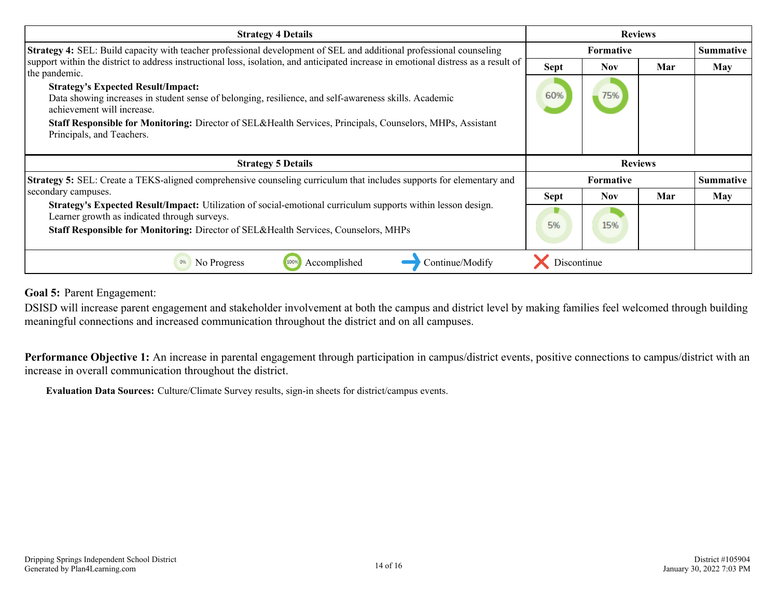<span id="page-13-0"></span>

| <b>Strategy 4 Details</b>                                                                                                                                                                                                                                         | <b>Reviews</b> |                  |     |                  |
|-------------------------------------------------------------------------------------------------------------------------------------------------------------------------------------------------------------------------------------------------------------------|----------------|------------------|-----|------------------|
| <b>Strategy 4:</b> SEL: Build capacity with teacher professional development of SEL and additional professional counseling                                                                                                                                        |                | Formative        |     |                  |
| support within the district to address instructional loss, isolation, and anticipated increase in emotional distress as a result of<br>the pandemic.                                                                                                              | <b>Sept</b>    | <b>Nov</b>       | Mar | May              |
| <b>Strategy's Expected Result/Impact:</b><br>Data showing increases in student sense of belonging, resilience, and self-awareness skills. Academic<br>achievement will increase.                                                                                  | 60%            | 75%              |     |                  |
| Staff Responsible for Monitoring: Director of SEL&Health Services, Principals, Counselors, MHPs, Assistant<br>Principals, and Teachers.                                                                                                                           |                |                  |     |                  |
|                                                                                                                                                                                                                                                                   |                |                  |     |                  |
| <b>Strategy 5 Details</b>                                                                                                                                                                                                                                         |                | <b>Reviews</b>   |     |                  |
| <b>Strategy 5:</b> SEL: Create a TEKS-aligned comprehensive counseling curriculum that includes supports for elementary and                                                                                                                                       |                | <b>Formative</b> |     | <b>Summative</b> |
| secondary campuses.                                                                                                                                                                                                                                               | <b>Sept</b>    | <b>Nov</b>       | Mar | May              |
| <b>Strategy's Expected Result/Impact:</b> Utilization of social-emotional curriculum supports within lesson design.<br>Learner growth as indicated through surveys.<br><b>Staff Responsible for Monitoring:</b> Director of SEL&Health Services, Counselors, MHPs | 5%             | 15%              |     |                  |

**Goal 5:** Parent Engagement:

DSISD will increase parent engagement and stakeholder involvement at both the campus and district level by making families feel welcomed through building meaningful connections and increased communication throughout the district and on all campuses.

Performance Objective 1: An increase in parental engagement through participation in campus/district events, positive connections to campus/district with an increase in overall communication throughout the district.

**Evaluation Data Sources:** Culture/Climate Survey results, sign-in sheets for district/campus events.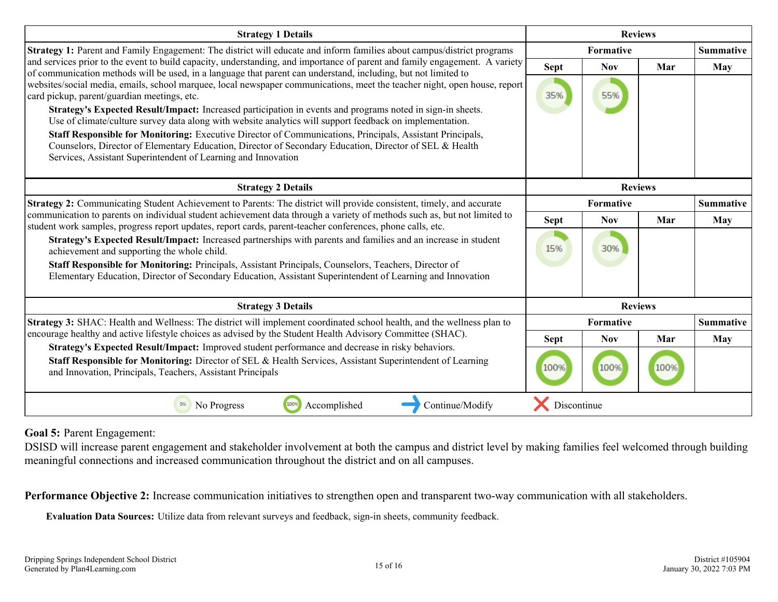| <b>Strategy 1 Details</b>                                                                                                                                                                                                                                                                                                                                                      | <b>Reviews</b> |            |     |                  |
|--------------------------------------------------------------------------------------------------------------------------------------------------------------------------------------------------------------------------------------------------------------------------------------------------------------------------------------------------------------------------------|----------------|------------|-----|------------------|
| <b>Strategy 1:</b> Parent and Family Engagement: The district will educate and inform families about campus/district programs<br>and services prior to the event to build capacity, understanding, and importance of parent and family engagement. A variety<br>of communication methods will be used, in a language that parent can understand, including, but not limited to | Formative      |            |     | <b>Summative</b> |
|                                                                                                                                                                                                                                                                                                                                                                                | <b>Sept</b>    | <b>Nov</b> | Mar | May              |
| websites/social media, emails, school marquee, local newspaper communications, meet the teacher night, open house, report                                                                                                                                                                                                                                                      |                |            |     |                  |
| card pickup, parent/guardian meetings, etc.                                                                                                                                                                                                                                                                                                                                    | 35%            | 55%        |     |                  |
| Strategy's Expected Result/Impact: Increased participation in events and programs noted in sign-in sheets.<br>Use of climate/culture survey data along with website analytics will support feedback on implementation.                                                                                                                                                         |                |            |     |                  |
| Staff Responsible for Monitoring: Executive Director of Communications, Principals, Assistant Principals,                                                                                                                                                                                                                                                                      |                |            |     |                  |
| Counselors, Director of Elementary Education, Director of Secondary Education, Director of SEL & Health<br>Services, Assistant Superintendent of Learning and Innovation                                                                                                                                                                                                       |                |            |     |                  |
|                                                                                                                                                                                                                                                                                                                                                                                |                |            |     |                  |
| <b>Strategy 2 Details</b>                                                                                                                                                                                                                                                                                                                                                      | <b>Reviews</b> |            |     |                  |
| Strategy 2: Communicating Student Achievement to Parents: The district will provide consistent, timely, and accurate<br>communication to parents on individual student achievement data through a variety of methods such as, but not limited to<br>student work samples, progress report updates, report cards, parent-teacher conferences, phone calls, etc.                 | Formative      |            |     | <b>Summative</b> |
|                                                                                                                                                                                                                                                                                                                                                                                | <b>Sept</b>    | <b>Nov</b> | Mar | May              |
| Strategy's Expected Result/Impact: Increased partnerships with parents and families and an increase in student                                                                                                                                                                                                                                                                 |                |            |     |                  |
| achievement and supporting the whole child.                                                                                                                                                                                                                                                                                                                                    | 15%            | 30%        |     |                  |
| Staff Responsible for Monitoring: Principals, Assistant Principals, Counselors, Teachers, Director of                                                                                                                                                                                                                                                                          |                |            |     |                  |
| Elementary Education, Director of Secondary Education, Assistant Superintendent of Learning and Innovation                                                                                                                                                                                                                                                                     |                |            |     |                  |
| <b>Strategy 3 Details</b>                                                                                                                                                                                                                                                                                                                                                      | <b>Reviews</b> |            |     |                  |
| Strategy 3: SHAC: Health and Wellness: The district will implement coordinated school health, and the wellness plan to<br>encourage healthy and active lifestyle choices as advised by the Student Health Advisory Committee (SHAC).                                                                                                                                           | Formative      |            |     | <b>Summative</b> |
|                                                                                                                                                                                                                                                                                                                                                                                | <b>Sept</b>    | <b>Nov</b> | Mar | May              |
| Strategy's Expected Result/Impact: Improved student performance and decrease in risky behaviors.                                                                                                                                                                                                                                                                               |                |            |     |                  |
| Staff Responsible for Monitoring: Director of SEL & Health Services, Assistant Superintendent of Learning<br>and Innovation, Principals, Teachers, Assistant Principals                                                                                                                                                                                                        | 100%           | 100%       |     |                  |
| No Progress<br>1009<br>Accomplished<br>Continue/Modify<br>0%                                                                                                                                                                                                                                                                                                                   | Discontinue    |            |     |                  |

#### **Goal 5:** Parent Engagement:

DSISD will increase parent engagement and stakeholder involvement at both the campus and district level by making families feel welcomed through building meaningful connections and increased communication throughout the district and on all campuses.

**Performance Objective 2:** Increase communication initiatives to strengthen open and transparent two-way communication with all stakeholders.

**Evaluation Data Sources:** Utilize data from relevant surveys and feedback, sign-in sheets, community feedback.